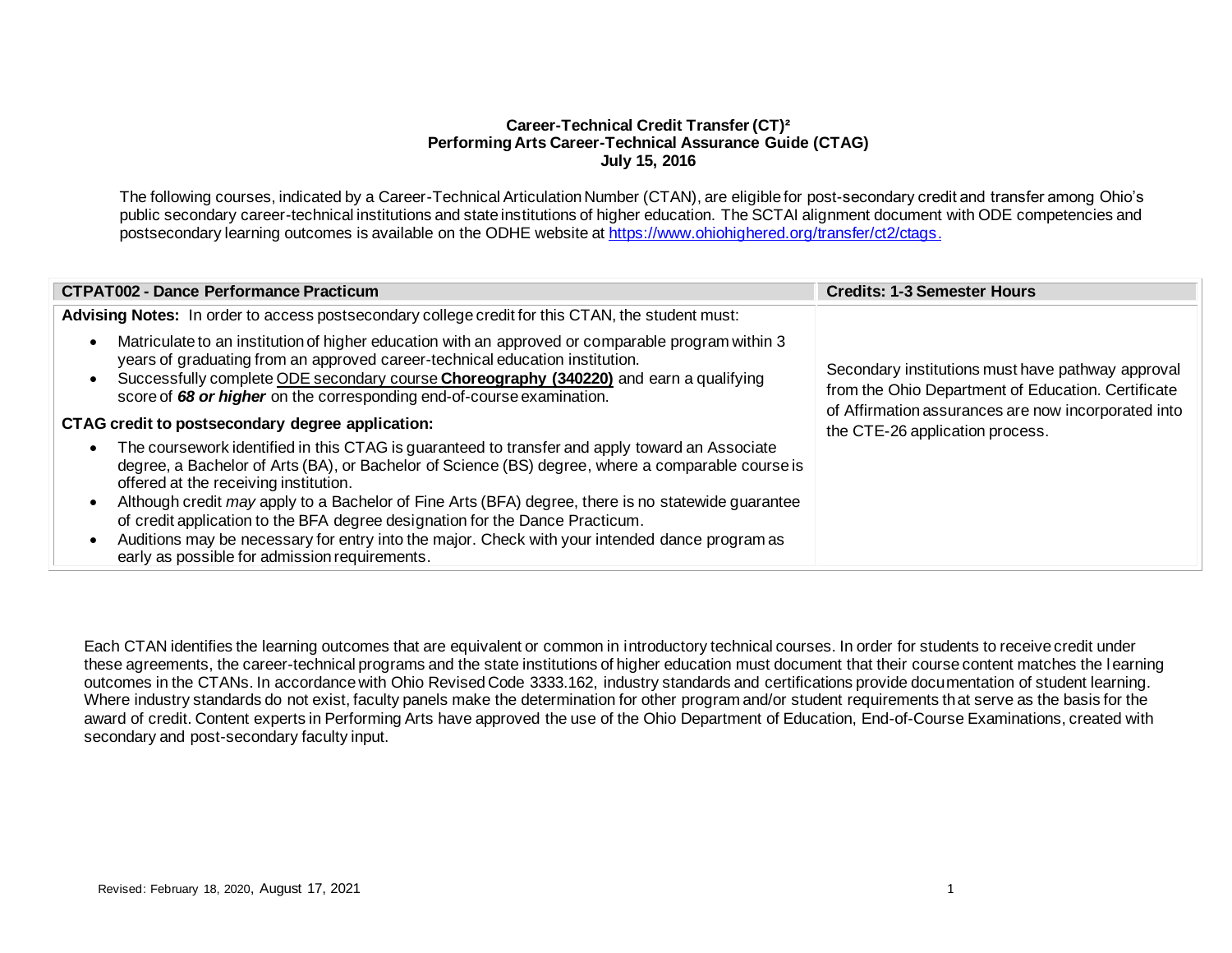# **Career-Technical Credit Transfer (CT)² Performing Arts Career-Technical Assurance Guide (CTAG) July 15, 2016**

The following courses, indicated by a Career-Technical Articulation Number (CTAN), are eligible for post-secondary credit and transfer among Ohio's public secondary career-technical institutions and state institutions of higher education. The SCTAI alignment document with ODE competencies and postsecondary learning outcomes is available on the ODHE website at<https://www.ohiohighered.org/transfer/ct2/ctags>.

| <b>CTPAT002 - Dance Performance Practicum</b>                                                                                                                                                                                                                                                                                                                                                                                                                                                                                                                                                                                | <b>Credits: 1-3 Semester Hours</b>                                                                                                                                                                |
|------------------------------------------------------------------------------------------------------------------------------------------------------------------------------------------------------------------------------------------------------------------------------------------------------------------------------------------------------------------------------------------------------------------------------------------------------------------------------------------------------------------------------------------------------------------------------------------------------------------------------|---------------------------------------------------------------------------------------------------------------------------------------------------------------------------------------------------|
| Advising Notes: In order to access postsecondary college credit for this CTAN, the student must:                                                                                                                                                                                                                                                                                                                                                                                                                                                                                                                             |                                                                                                                                                                                                   |
| Matriculate to an institution of higher education with an approved or comparable program within 3<br>$\bullet$<br>years of graduating from an approved career-technical education institution.<br>Successfully complete ODE secondary course Choreography (340220) and earn a qualifying<br>$\bullet$<br>score of 68 or higher on the corresponding end-of-course examination.                                                                                                                                                                                                                                               | Secondary institutions must have pathway approval<br>from the Ohio Department of Education. Certificate<br>of Affirmation assurances are now incorporated into<br>the CTE-26 application process. |
| CTAG credit to postsecondary degree application:                                                                                                                                                                                                                                                                                                                                                                                                                                                                                                                                                                             |                                                                                                                                                                                                   |
| The coursework identified in this CTAG is guaranteed to transfer and apply toward an Associate<br>$\bullet$<br>degree, a Bachelor of Arts (BA), or Bachelor of Science (BS) degree, where a comparable course is<br>offered at the receiving institution.<br>Although credit may apply to a Bachelor of Fine Arts (BFA) degree, there is no statewide guarantee<br>$\bullet$<br>of credit application to the BFA degree designation for the Dance Practicum.<br>Auditions may be necessary for entry into the major. Check with your intended dance program as<br>$\bullet$<br>early as possible for admission requirements. |                                                                                                                                                                                                   |

Each CTAN identifies the learning outcomes that are equivalent or common in introductory technical courses. In order for students to receive credit under these agreements, the career-technical programs and the state institutions of higher education must document that their course content matches the l earning outcomes in the CTANs. In accordance with Ohio Revised Code 3333.162, industry standards and certifications provide documentation of student learning. Where industry standards do not exist, faculty panels make the determination for other program and/or student requirements that serve as the basis for the award of credit. Content experts in Performing Arts have approved the use of the Ohio Department of Education, End-of-Course Examinations, created with secondary and post-secondary faculty input.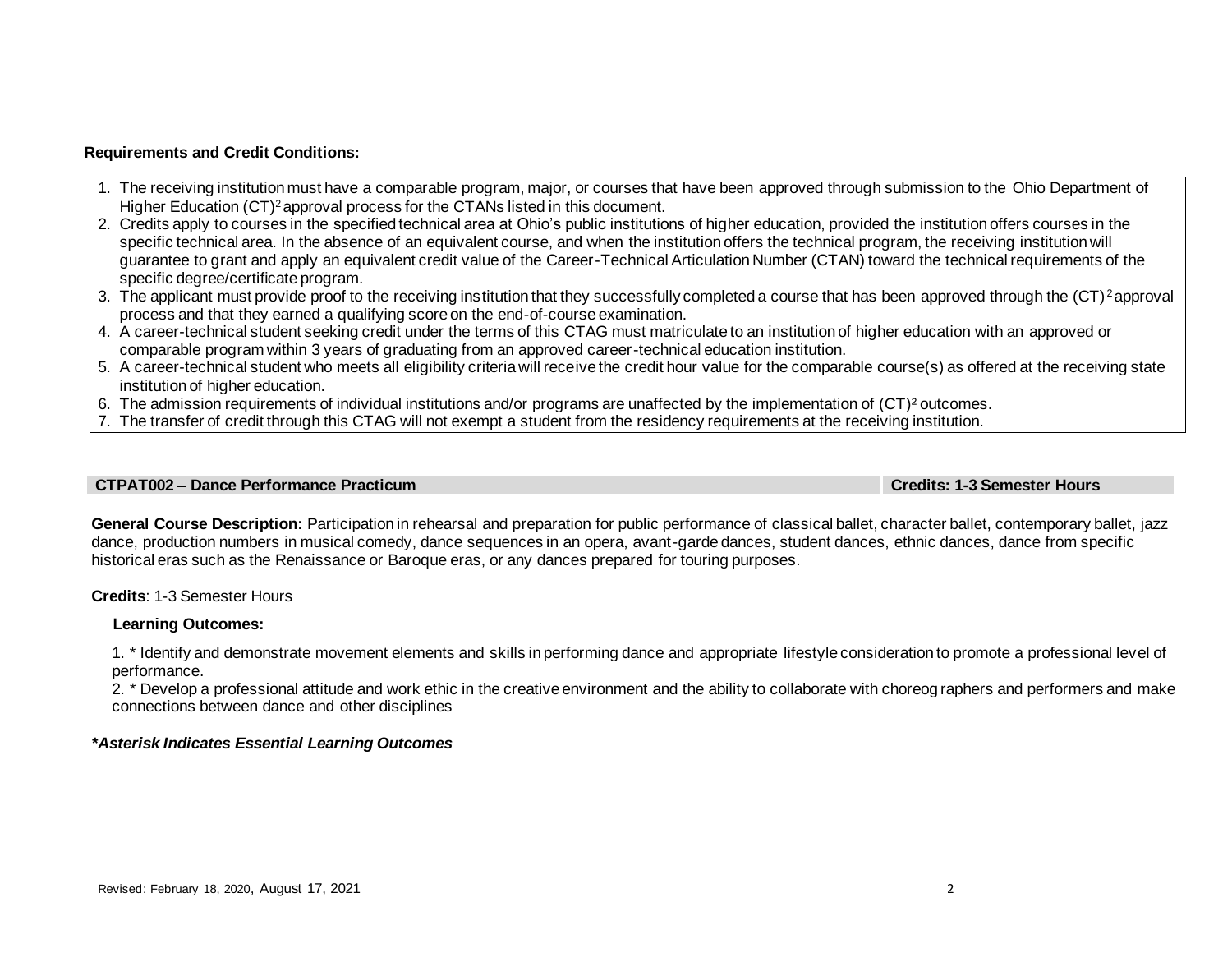## **Requirements and Credit Conditions:**

- 1. The receiving institution must have a comparable program, major, or courses that have been approved through submission to the Ohio Department of Higher Education (CT)<sup>2</sup> approval process for the CTANs listed in this document.
- 2. Credits apply to courses in the specified technical area at Ohio's public institutions of higher education, provided the institution offers courses in the specific technical area. In the absence of an equivalent course, and when the institution offers the technical program, the receiving institution will guarantee to grant and apply an equivalent credit value of the Career-Technical Articulation Number (CTAN) toward the technical requirements of the specific degree/certificate program.
- 3. The applicant must provide proof to the receiving institution that they successfully completed a course that has been approved through the (CT)<sup>2</sup>approval process and that they earned a qualifying score on the end-of-course examination.
- 4. A career-technical student seeking credit under the terms of this CTAG must matriculate to an institution of higher education with an approved or comparable program within 3 years of graduating from an approved career-technical education institution.
- 5. A career-technical student who meets all eligibility criteria will receive the credit hour value for the comparable course(s) as offered at the receiving state institution of higher education.
- 6. The admission requirements of individual institutions and/or programs are unaffected by the implementation of (CT)² outcomes.
- 7. The transfer of credit through this CTAG will not exempt a student from the residency requirements at the receiving institution.

#### **CTPAT002 – Dance Performance Practicum Credits: 1-3 Semester Hours**

General Course Description: Participation in rehearsal and preparation for public performance of classical ballet, character ballet, contemporary ballet, jazz dance, production numbers in musical comedy, dance sequences in an opera, avant-garde dances, student dances, ethnic dances, dance from specific historical eras such as the Renaissance or Baroque eras, or any dances prepared for touring purposes.

**Credits**: 1-3 Semester Hours

#### **Learning Outcomes:**

1. \* Identify and demonstrate movement elements and skills in performing dance and appropriate lifestyle consideration to promote a professional level of performance.

2. \* Develop a professional attitude and work ethic in the creative environment and the ability to collaborate with choreog raphers and performers and make connections between dance and other disciplines

# *\*Asterisk Indicates Essential Learning Outcomes*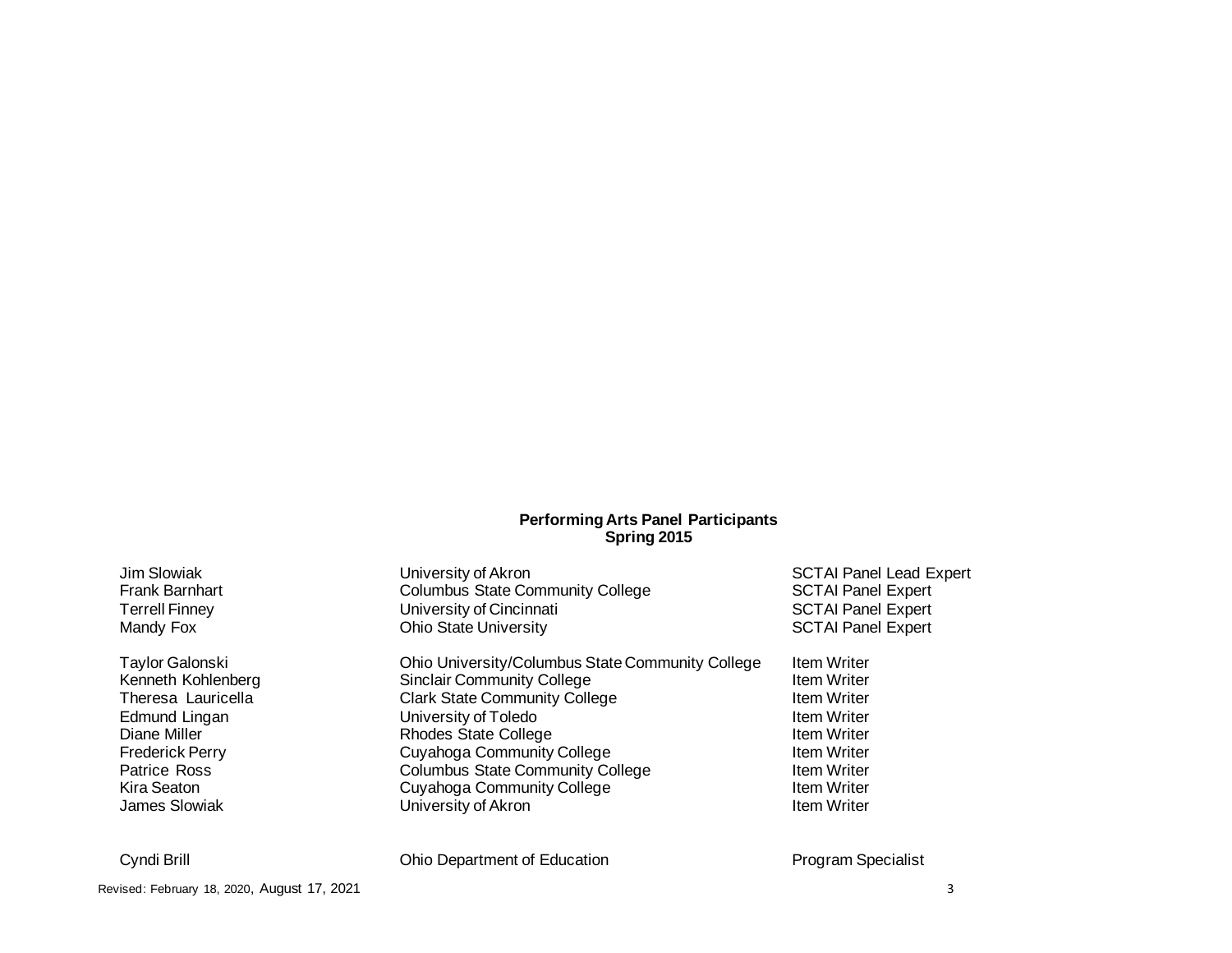## **Performing Arts Panel Participants Spring 2015**

| Jim Slowiak            | University of Akron                              | <b>SCTAI Panel Lead Expert</b> |
|------------------------|--------------------------------------------------|--------------------------------|
| <b>Frank Barnhart</b>  | <b>Columbus State Community College</b>          | <b>SCTAI Panel Expert</b>      |
| <b>Terrell Finney</b>  | University of Cincinnati                         | <b>SCTAI Panel Expert</b>      |
| Mandy Fox              | <b>Ohio State University</b>                     | <b>SCTAI Panel Expert</b>      |
| Taylor Galonski        | Ohio University/Columbus State Community College | <b>Item Writer</b>             |
| Kenneth Kohlenberg     | <b>Sinclair Community College</b>                | <b>Item Writer</b>             |
| Theresa Lauricella     | <b>Clark State Community College</b>             | <b>Item Writer</b>             |
| Edmund Lingan          | University of Toledo                             | <b>Item Writer</b>             |
| Diane Miller           | <b>Rhodes State College</b>                      | <b>Item Writer</b>             |
| <b>Frederick Perry</b> | <b>Cuyahoga Community College</b>                | <b>Item Writer</b>             |
| <b>Patrice Ross</b>    | <b>Columbus State Community College</b>          | <b>Item Writer</b>             |
| Kira Seaton            | Cuyahoga Community College                       | <b>Item Writer</b>             |
| <b>James Slowiak</b>   | University of Akron                              | <b>Item Writer</b>             |
| Cyndi Brill            | Ohio Department of Education                     | <b>Program Specialist</b>      |

Revised: February 18, 2020, August 17, 2021 3